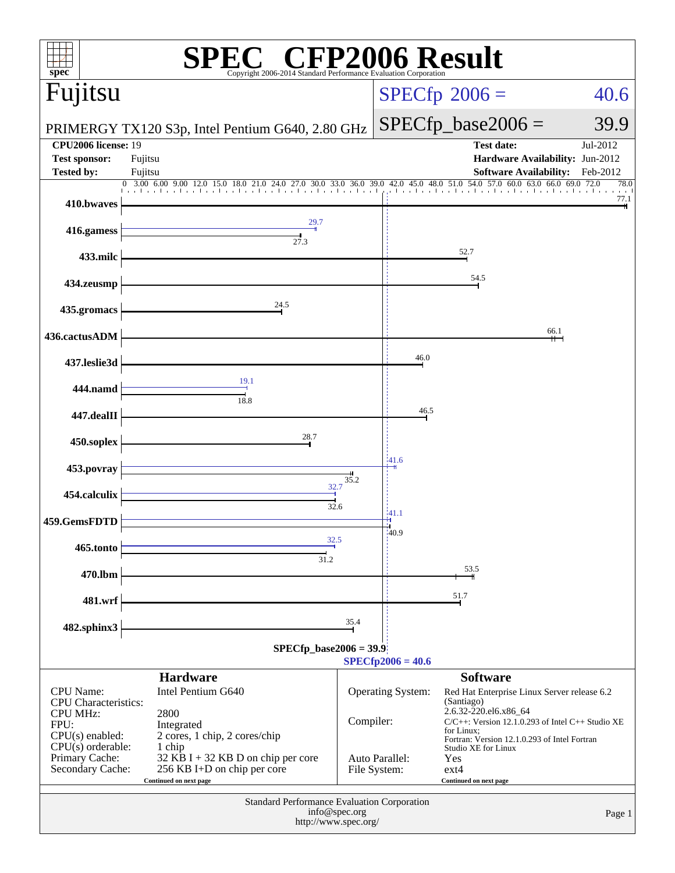| $spec^*$                                                   | $\mathbb{C}^{\circledast}$ CFP2006 Result<br>Copyright 2006-2014 Standard Performance Evaluation Corporation |         |                                                                                |                                                                                   |                               |
|------------------------------------------------------------|--------------------------------------------------------------------------------------------------------------|---------|--------------------------------------------------------------------------------|-----------------------------------------------------------------------------------|-------------------------------|
| Fujitsu                                                    |                                                                                                              |         |                                                                                | $SPECfp^{\circ}2006 =$                                                            | 40.6                          |
|                                                            | PRIMERGY TX120 S3p, Intel Pentium G640, 2.80 GHz                                                             |         | $SPECfp\_base2006 =$                                                           | 39.9                                                                              |                               |
| <b>CPU2006</b> license: 19<br><b>Test sponsor:</b>         | Fujitsu                                                                                                      |         |                                                                                | <b>Test date:</b><br>Hardware Availability: Jun-2012                              | Jul-2012                      |
| <b>Tested by:</b>                                          | Fujitsu<br>$0$ 3.00 6.00 9.00 12.0<br>15.0 18.0 21.0 24.0 27.0 30.0 33.0 36.0 39.0                           |         |                                                                                | <b>Software Availability:</b><br>42.0 45.0 48.0 51.0 54.0 57.0 60.0 63.0 66.0     | Feb-2012<br>69.0 72.0<br>78.0 |
| 410.bwaves                                                 |                                                                                                              |         |                                                                                |                                                                                   | 77.1                          |
| 416.gamess                                                 | 29.7<br>27.3                                                                                                 |         |                                                                                |                                                                                   |                               |
| 433.milc                                                   |                                                                                                              |         |                                                                                | 52.7                                                                              |                               |
| 434.zeusmp                                                 |                                                                                                              |         |                                                                                | 54.5                                                                              |                               |
| 435.gromacs                                                | 24.5                                                                                                         |         |                                                                                |                                                                                   |                               |
| 436.cactusADM                                              |                                                                                                              |         |                                                                                |                                                                                   | 66.1                          |
| 437.leslie3d                                               |                                                                                                              |         | 46.0                                                                           |                                                                                   |                               |
| 444.namd                                                   | 19.1<br>18.8                                                                                                 |         |                                                                                |                                                                                   |                               |
| 447.dealII                                                 |                                                                                                              |         | 46.5                                                                           |                                                                                   |                               |
| 450.soplex                                                 | 28.7                                                                                                         |         |                                                                                |                                                                                   |                               |
| 453.povray                                                 |                                                                                                              | $-41.6$ |                                                                                |                                                                                   |                               |
| 454.calculix                                               | $\frac{32.7}{4}$                                                                                             |         |                                                                                |                                                                                   |                               |
| 459.GemsFDTD                                               | 32.6                                                                                                         | $-41.1$ |                                                                                |                                                                                   |                               |
| 465.tonto                                                  | 32.5                                                                                                         |         | 40.9                                                                           |                                                                                   |                               |
| 470.lbm                                                    | 31.2                                                                                                         |         |                                                                                | 53.5                                                                              |                               |
| 481.wrf                                                    |                                                                                                              |         |                                                                                | 51.7                                                                              |                               |
| 482.sphinx3                                                |                                                                                                              | 35.4    |                                                                                |                                                                                   |                               |
|                                                            | $SPECfp\_base2006 = 39.9$                                                                                    |         | $SPECfp2006 = 40.6$                                                            |                                                                                   |                               |
|                                                            | <b>Hardware</b>                                                                                              |         |                                                                                | <b>Software</b>                                                                   |                               |
| <b>CPU</b> Name:<br><b>CPU</b> Characteristics:            | Intel Pentium G640                                                                                           |         | Operating System:                                                              | Red Hat Enterprise Linux Server release 6.2<br>(Santiago)                         |                               |
| <b>CPU MHz:</b><br>2800<br>Compiler:<br>FPU:<br>Integrated |                                                                                                              |         | 2.6.32-220.el6.x86_64<br>$C/C++$ : Version 12.1.0.293 of Intel $C++$ Studio XE |                                                                                   |                               |
| $CPU(s)$ enabled:<br>$CPU(s)$ orderable:                   | 2 cores, 1 chip, 2 cores/chip<br>1 chip                                                                      |         |                                                                                | for Linux;<br>Fortran: Version 12.1.0.293 of Intel Fortran<br>Studio XE for Linux |                               |
| Primary Cache:<br>Secondary Cache:                         | $32$ KB I + 32 KB D on chip per core<br>256 KB I+D on chip per core<br>Continued on next page                |         | Auto Parallel:<br>File System:                                                 | Yes<br>$ext{4}$<br>Continued on next page                                         |                               |
|                                                            | Standard Performance Evaluation Corporation                                                                  |         |                                                                                |                                                                                   |                               |
|                                                            | info@spec.org<br>http://www.spec.org/                                                                        |         |                                                                                |                                                                                   | Page 1                        |
|                                                            |                                                                                                              |         |                                                                                |                                                                                   |                               |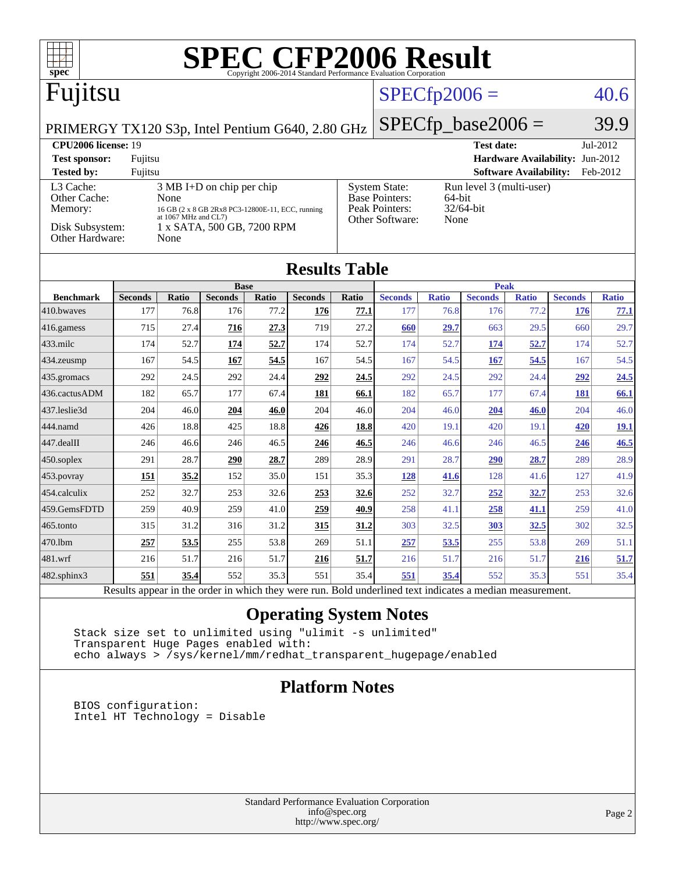| spec®                                                                    |                |                      |                                                  |       |                |                | <b>SPEC CFP2006 Result</b>                                                                               |              |                               |                               |                |              |
|--------------------------------------------------------------------------|----------------|----------------------|--------------------------------------------------|-------|----------------|----------------|----------------------------------------------------------------------------------------------------------|--------------|-------------------------------|-------------------------------|----------------|--------------|
| Fujitsu                                                                  |                |                      |                                                  |       |                | $SPECfp2006 =$ |                                                                                                          |              |                               | 40.6                          |                |              |
| $SPECfp\_base2006 =$<br>PRIMERGY TX120 S3p, Intel Pentium G640, 2.80 GHz |                |                      |                                                  |       |                |                | 39.9                                                                                                     |              |                               |                               |                |              |
| <b>CPU2006 license: 19</b><br><b>Test date:</b><br>Jul-2012              |                |                      |                                                  |       |                |                |                                                                                                          |              |                               |                               |                |              |
| <b>Test sponsor:</b><br>Fujitsu<br>Hardware Availability: Jun-2012       |                |                      |                                                  |       |                |                |                                                                                                          |              |                               |                               |                |              |
| <b>Tested by:</b>                                                        | Fujitsu        |                      |                                                  |       |                |                |                                                                                                          |              |                               | <b>Software Availability:</b> |                | Feb-2012     |
| L3 Cache:<br>Other Cache:                                                |                | None                 | $3 MB I+D$ on chip per chip                      |       |                |                | <b>System State:</b><br>Run level 3 (multi-user)                                                         |              |                               |                               |                |              |
| Memory:                                                                  |                |                      | 16 GB (2 x 8 GB 2Rx8 PC3-12800E-11, ECC, running |       |                |                | <b>Base Pointers:</b><br>64-bit<br>Peak Pointers:<br>32/64-bit                                           |              |                               |                               |                |              |
| Disk Subsystem:                                                          |                | at 1067 MHz and CL7) | 1 x SATA, 500 GB, 7200 RPM                       |       |                |                | Other Software:                                                                                          | None         |                               |                               |                |              |
| Other Hardware:                                                          |                | None                 |                                                  |       |                |                |                                                                                                          |              |                               |                               |                |              |
|                                                                          |                |                      |                                                  |       |                |                |                                                                                                          |              |                               |                               |                |              |
| <b>Results Table</b>                                                     |                |                      |                                                  |       |                |                |                                                                                                          |              |                               |                               |                |              |
| <b>Benchmark</b>                                                         | <b>Seconds</b> | Ratio                | <b>Base</b><br><b>Seconds</b>                    | Ratio | <b>Seconds</b> | Ratio          | <b>Seconds</b>                                                                                           | <b>Ratio</b> | <b>Peak</b><br><b>Seconds</b> | <b>Ratio</b>                  | <b>Seconds</b> | <b>Ratio</b> |
| 410.bwaves                                                               | 177            | 76.8                 | 176                                              | 77.2  | 176            | 77.1           | 177                                                                                                      | 76.8         | 176                           | 77.2                          | 176            | 77.1         |
| 416.gamess                                                               | 715            | 27.4                 | $\overline{216}$                                 | 27.3  | 719            | 27.2           | 660                                                                                                      | 29.7         | 663                           | 29.5                          | 660            | 29.7         |
| 433.milc                                                                 | 174            | 52.7                 | 174                                              | 52.7  | 174            | 52.7           | 174                                                                                                      | 52.7         | 174                           | 52.7                          | 174            | 52.7         |
| 434.zeusmp                                                               | 167            | 54.5                 | 167                                              | 54.5  | 167            | 54.5           | 167                                                                                                      | 54.5         | 167                           | 54.5                          | 167            | 54.5         |
| 435.gromacs                                                              | 292            | 24.5                 | 292                                              | 24.4  | 292            | 24.5           | 292                                                                                                      | 24.5         | 292                           | 24.4                          | 292            | 24.5         |
| 436.cactusADM                                                            | 182            | 65.7                 | 177                                              | 67.4  | 181            | 66.1           | 182                                                                                                      | 65.7         | 177                           | 67.4                          | 181            | 66.1         |
| 437.leslie3d                                                             | 204            | 46.0                 | 204                                              | 46.0  | 204            | 46.0           | 204                                                                                                      | 46.0         | 204                           | 46.0                          | 204            | 46.0         |
| 444.namd                                                                 | 426            | 18.8                 | 425                                              | 18.8  | 426            | 18.8           | 420                                                                                                      | 19.1         | 420                           | 19.1                          | <u>420</u>     | <u>19.1</u>  |
| 447.dealII                                                               | 246            | 46.6                 | 246                                              | 46.5  | 246            | 46.5           | 246                                                                                                      | 46.6         | 246                           | 46.5                          | 246            | 46.5         |
| 450.soplex                                                               | 291            | 28.7                 | 290                                              | 28.7  | 289            | 28.9           | 291                                                                                                      | 28.7         | 290                           | 28.7                          | 289            | 28.9         |
| 453. povray                                                              | 151            | 35.2                 | 152                                              | 35.0  | 151            | 35.3           | 128                                                                                                      | 41.6         | 128                           | 41.6                          | 127            | 41.9         |
| 454.calculix                                                             | 252            | 32.7                 | 253                                              | 32.6  | 253            | 32.6           | 252                                                                                                      | 32.7         | 252                           | 32.7                          | 253            | 32.6         |
| 459.GemsFDTD                                                             | 259            | 40.9                 | 259                                              | 41.0  | 259            | 40.9           | 258                                                                                                      | 41.1         | 258                           | 41.1                          | 259            | 41.0         |
| 465.tonto                                                                | 315            | 31.2                 | 316                                              | 31.2  | 315            | 31.2           | 303                                                                                                      | 32.5         | 303                           | <u>32.5</u>                   | 302            | 32.5         |
| 470.1bm                                                                  | 257            | 53.5                 | 255                                              | 53.8  | 269            | 51.1           | 257                                                                                                      | 53.5         | 255                           | 53.8                          | 269            | 51.1         |
| 481.wrf                                                                  | 216            | 51.7                 | 216                                              | 51.7  | 216            | 51.7           | 216                                                                                                      | 51.7         | 216                           | 51.7                          | 216            | 51.7         |
| 482.sphinx3                                                              | 551            | 35.4                 | 552                                              | 35.3  | 551            | 35.4           | 551                                                                                                      | 35.4         | 552                           | 35.3                          | 551            | 35.4         |
|                                                                          |                |                      |                                                  |       |                |                | Results appear in the order in which they were run. Bold underlined text indicates a median measurement. |              |                               |                               |                |              |

#### **[Operating System Notes](http://www.spec.org/auto/cpu2006/Docs/result-fields.html#OperatingSystemNotes)**

 Stack size set to unlimited using "ulimit -s unlimited" Transparent Huge Pages enabled with: echo always > /sys/kernel/mm/redhat\_transparent\_hugepage/enabled

#### **[Platform Notes](http://www.spec.org/auto/cpu2006/Docs/result-fields.html#PlatformNotes)**

 BIOS configuration: Intel HT Technology = Disable

> Standard Performance Evaluation Corporation [info@spec.org](mailto:info@spec.org) <http://www.spec.org/>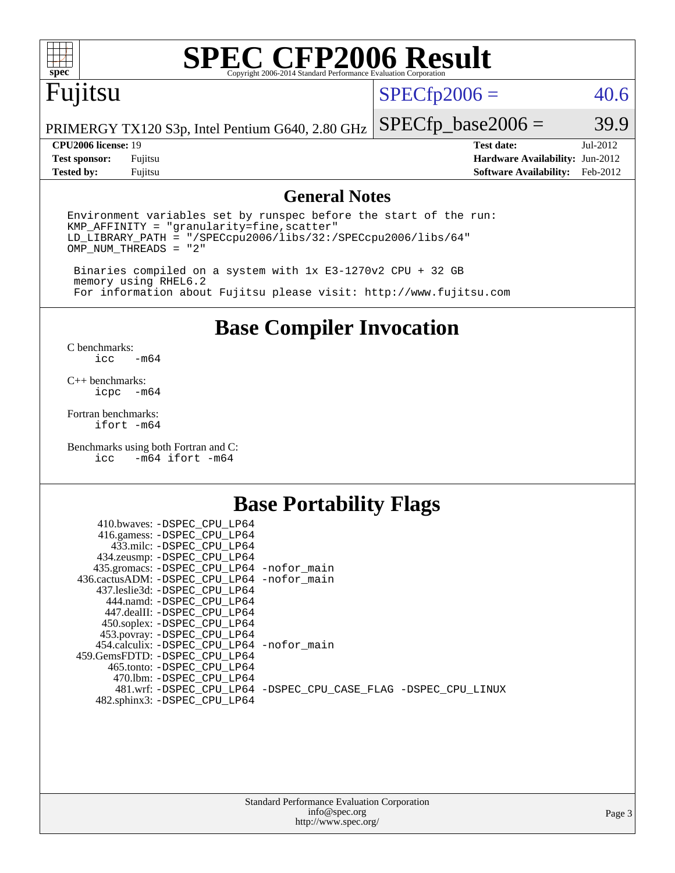

# **[SPEC CFP2006 Result](http://www.spec.org/auto/cpu2006/Docs/result-fields.html#SPECCFP2006Result)**

# Fujitsu

 $SPECfp2006 = 40.6$  $SPECfp2006 = 40.6$ 

PRIMERGY TX120 S3p, Intel Pentium G640, 2.80 GHz

**[Tested by:](http://www.spec.org/auto/cpu2006/Docs/result-fields.html#Testedby)** Fujitsu **[Software Availability:](http://www.spec.org/auto/cpu2006/Docs/result-fields.html#SoftwareAvailability)** Feb-2012

 $SPECTp\_base2006 = 39.9$ **[CPU2006 license:](http://www.spec.org/auto/cpu2006/Docs/result-fields.html#CPU2006license)** 19 **[Test date:](http://www.spec.org/auto/cpu2006/Docs/result-fields.html#Testdate)** Jul-2012 **[Test sponsor:](http://www.spec.org/auto/cpu2006/Docs/result-fields.html#Testsponsor)** Fujitsu **[Hardware Availability:](http://www.spec.org/auto/cpu2006/Docs/result-fields.html#HardwareAvailability)** Jun-2012

#### **[General Notes](http://www.spec.org/auto/cpu2006/Docs/result-fields.html#GeneralNotes)**

Environment variables set by runspec before the start of the run: KMP\_AFFINITY = "granularity=fine,scatter" LD\_LIBRARY\_PATH = "/SPECcpu2006/libs/32:/SPECcpu2006/libs/64" OMP\_NUM\_THREADS = "2"

 Binaries compiled on a system with 1x E3-1270v2 CPU + 32 GB memory using RHEL6.2 For information about Fujitsu please visit: <http://www.fujitsu.com>

**[Base Compiler Invocation](http://www.spec.org/auto/cpu2006/Docs/result-fields.html#BaseCompilerInvocation)**

 $C$  benchmarks:<br>icc  $-m64$ 

[C++ benchmarks:](http://www.spec.org/auto/cpu2006/Docs/result-fields.html#CXXbenchmarks) [icpc -m64](http://www.spec.org/cpu2006/results/res2012q3/cpu2006-20120822-24279.flags.html#user_CXXbase_intel_icpc_64bit_bedb90c1146cab66620883ef4f41a67e)

[Fortran benchmarks](http://www.spec.org/auto/cpu2006/Docs/result-fields.html#Fortranbenchmarks): [ifort -m64](http://www.spec.org/cpu2006/results/res2012q3/cpu2006-20120822-24279.flags.html#user_FCbase_intel_ifort_64bit_ee9d0fb25645d0210d97eb0527dcc06e)

[Benchmarks using both Fortran and C](http://www.spec.org/auto/cpu2006/Docs/result-fields.html#BenchmarksusingbothFortranandC): [icc -m64](http://www.spec.org/cpu2006/results/res2012q3/cpu2006-20120822-24279.flags.html#user_CC_FCbase_intel_icc_64bit_0b7121f5ab7cfabee23d88897260401c) [ifort -m64](http://www.spec.org/cpu2006/results/res2012q3/cpu2006-20120822-24279.flags.html#user_CC_FCbase_intel_ifort_64bit_ee9d0fb25645d0210d97eb0527dcc06e)

#### **[Base Portability Flags](http://www.spec.org/auto/cpu2006/Docs/result-fields.html#BasePortabilityFlags)**

| 410.bwaves: -DSPEC CPU LP64                              |                                                                |
|----------------------------------------------------------|----------------------------------------------------------------|
| 416.gamess: -DSPEC_CPU_LP64<br>433.milc: -DSPEC CPU LP64 |                                                                |
| 434.zeusmp: - DSPEC_CPU_LP64                             |                                                                |
| 435.gromacs: -DSPEC_CPU_LP64 -nofor_main                 |                                                                |
| 436.cactusADM: -DSPEC CPU LP64 -nofor main               |                                                                |
| 437.leslie3d: -DSPEC CPU LP64                            |                                                                |
| 444.namd: -DSPEC CPU LP64                                |                                                                |
| 447.dealII: -DSPEC_CPU LP64                              |                                                                |
| 450.soplex: -DSPEC_CPU_LP64                              |                                                                |
| 453.povray: -DSPEC_CPU_LP64                              |                                                                |
| 454.calculix: -DSPEC CPU LP64 -nofor main                |                                                                |
| 459. GemsFDTD: - DSPEC CPU LP64                          |                                                                |
| 465.tonto: - DSPEC CPU LP64                              |                                                                |
| 470.1bm: - DSPEC_CPU LP64                                | 481.wrf: -DSPEC CPU_LP64 -DSPEC_CPU_CASE_FLAG -DSPEC_CPU_LINUX |
| 482.sphinx3: -DSPEC_CPU_LP64                             |                                                                |
|                                                          |                                                                |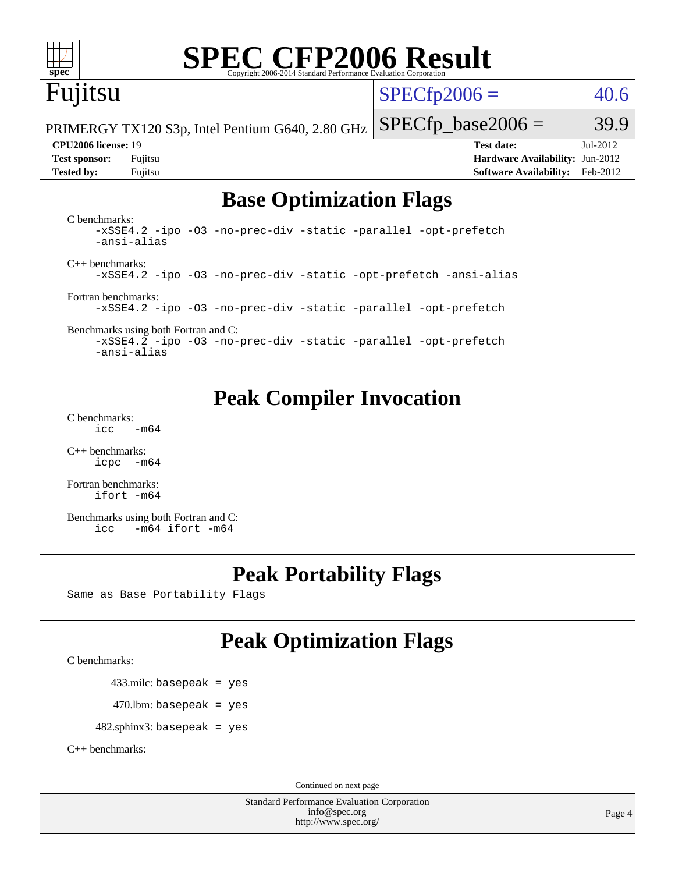

# **[SPEC CFP2006 Result](http://www.spec.org/auto/cpu2006/Docs/result-fields.html#SPECCFP2006Result)**

# Fujitsu

 $SPECTp2006 = 40.6$ 

PRIMERGY TX120 S3p, Intel Pentium G640, 2.80 GHz

**[CPU2006 license:](http://www.spec.org/auto/cpu2006/Docs/result-fields.html#CPU2006license)** 19 **[Test date:](http://www.spec.org/auto/cpu2006/Docs/result-fields.html#Testdate)** Jul-2012 **[Test sponsor:](http://www.spec.org/auto/cpu2006/Docs/result-fields.html#Testsponsor)** Fujitsu **[Hardware Availability:](http://www.spec.org/auto/cpu2006/Docs/result-fields.html#HardwareAvailability)** Jun-2012 **[Tested by:](http://www.spec.org/auto/cpu2006/Docs/result-fields.html#Testedby)** Fujitsu **[Software Availability:](http://www.spec.org/auto/cpu2006/Docs/result-fields.html#SoftwareAvailability)** Feb-2012

 $SPECTp\_base2006 = 39.9$ 

#### **[Base Optimization Flags](http://www.spec.org/auto/cpu2006/Docs/result-fields.html#BaseOptimizationFlags)**

[C benchmarks](http://www.spec.org/auto/cpu2006/Docs/result-fields.html#Cbenchmarks): [-xSSE4.2](http://www.spec.org/cpu2006/results/res2012q3/cpu2006-20120822-24279.flags.html#user_CCbase_f-xSSE42_f91528193cf0b216347adb8b939d4107) [-ipo](http://www.spec.org/cpu2006/results/res2012q3/cpu2006-20120822-24279.flags.html#user_CCbase_f-ipo) [-O3](http://www.spec.org/cpu2006/results/res2012q3/cpu2006-20120822-24279.flags.html#user_CCbase_f-O3) [-no-prec-div](http://www.spec.org/cpu2006/results/res2012q3/cpu2006-20120822-24279.flags.html#user_CCbase_f-no-prec-div) [-static](http://www.spec.org/cpu2006/results/res2012q3/cpu2006-20120822-24279.flags.html#user_CCbase_f-static) [-parallel](http://www.spec.org/cpu2006/results/res2012q3/cpu2006-20120822-24279.flags.html#user_CCbase_f-parallel) [-opt-prefetch](http://www.spec.org/cpu2006/results/res2012q3/cpu2006-20120822-24279.flags.html#user_CCbase_f-opt-prefetch) [-ansi-alias](http://www.spec.org/cpu2006/results/res2012q3/cpu2006-20120822-24279.flags.html#user_CCbase_f-ansi-alias) [C++ benchmarks:](http://www.spec.org/auto/cpu2006/Docs/result-fields.html#CXXbenchmarks) [-xSSE4.2](http://www.spec.org/cpu2006/results/res2012q3/cpu2006-20120822-24279.flags.html#user_CXXbase_f-xSSE42_f91528193cf0b216347adb8b939d4107) [-ipo](http://www.spec.org/cpu2006/results/res2012q3/cpu2006-20120822-24279.flags.html#user_CXXbase_f-ipo) [-O3](http://www.spec.org/cpu2006/results/res2012q3/cpu2006-20120822-24279.flags.html#user_CXXbase_f-O3) [-no-prec-div](http://www.spec.org/cpu2006/results/res2012q3/cpu2006-20120822-24279.flags.html#user_CXXbase_f-no-prec-div) [-static](http://www.spec.org/cpu2006/results/res2012q3/cpu2006-20120822-24279.flags.html#user_CXXbase_f-static) [-opt-prefetch](http://www.spec.org/cpu2006/results/res2012q3/cpu2006-20120822-24279.flags.html#user_CXXbase_f-opt-prefetch) [-ansi-alias](http://www.spec.org/cpu2006/results/res2012q3/cpu2006-20120822-24279.flags.html#user_CXXbase_f-ansi-alias) [Fortran benchmarks](http://www.spec.org/auto/cpu2006/Docs/result-fields.html#Fortranbenchmarks): [-xSSE4.2](http://www.spec.org/cpu2006/results/res2012q3/cpu2006-20120822-24279.flags.html#user_FCbase_f-xSSE42_f91528193cf0b216347adb8b939d4107) [-ipo](http://www.spec.org/cpu2006/results/res2012q3/cpu2006-20120822-24279.flags.html#user_FCbase_f-ipo) [-O3](http://www.spec.org/cpu2006/results/res2012q3/cpu2006-20120822-24279.flags.html#user_FCbase_f-O3) [-no-prec-div](http://www.spec.org/cpu2006/results/res2012q3/cpu2006-20120822-24279.flags.html#user_FCbase_f-no-prec-div) [-static](http://www.spec.org/cpu2006/results/res2012q3/cpu2006-20120822-24279.flags.html#user_FCbase_f-static) [-parallel](http://www.spec.org/cpu2006/results/res2012q3/cpu2006-20120822-24279.flags.html#user_FCbase_f-parallel) [-opt-prefetch](http://www.spec.org/cpu2006/results/res2012q3/cpu2006-20120822-24279.flags.html#user_FCbase_f-opt-prefetch)

[Benchmarks using both Fortran and C](http://www.spec.org/auto/cpu2006/Docs/result-fields.html#BenchmarksusingbothFortranandC):

[-xSSE4.2](http://www.spec.org/cpu2006/results/res2012q3/cpu2006-20120822-24279.flags.html#user_CC_FCbase_f-xSSE42_f91528193cf0b216347adb8b939d4107) [-ipo](http://www.spec.org/cpu2006/results/res2012q3/cpu2006-20120822-24279.flags.html#user_CC_FCbase_f-ipo) [-O3](http://www.spec.org/cpu2006/results/res2012q3/cpu2006-20120822-24279.flags.html#user_CC_FCbase_f-O3) [-no-prec-div](http://www.spec.org/cpu2006/results/res2012q3/cpu2006-20120822-24279.flags.html#user_CC_FCbase_f-no-prec-div) [-static](http://www.spec.org/cpu2006/results/res2012q3/cpu2006-20120822-24279.flags.html#user_CC_FCbase_f-static) [-parallel](http://www.spec.org/cpu2006/results/res2012q3/cpu2006-20120822-24279.flags.html#user_CC_FCbase_f-parallel) [-opt-prefetch](http://www.spec.org/cpu2006/results/res2012q3/cpu2006-20120822-24279.flags.html#user_CC_FCbase_f-opt-prefetch) [-ansi-alias](http://www.spec.org/cpu2006/results/res2012q3/cpu2006-20120822-24279.flags.html#user_CC_FCbase_f-ansi-alias)

### **[Peak Compiler Invocation](http://www.spec.org/auto/cpu2006/Docs/result-fields.html#PeakCompilerInvocation)**

[C benchmarks](http://www.spec.org/auto/cpu2006/Docs/result-fields.html#Cbenchmarks):  $\text{icc}$  -m64

[C++ benchmarks:](http://www.spec.org/auto/cpu2006/Docs/result-fields.html#CXXbenchmarks) [icpc -m64](http://www.spec.org/cpu2006/results/res2012q3/cpu2006-20120822-24279.flags.html#user_CXXpeak_intel_icpc_64bit_bedb90c1146cab66620883ef4f41a67e)

[Fortran benchmarks](http://www.spec.org/auto/cpu2006/Docs/result-fields.html#Fortranbenchmarks): [ifort -m64](http://www.spec.org/cpu2006/results/res2012q3/cpu2006-20120822-24279.flags.html#user_FCpeak_intel_ifort_64bit_ee9d0fb25645d0210d97eb0527dcc06e)

[Benchmarks using both Fortran and C](http://www.spec.org/auto/cpu2006/Docs/result-fields.html#BenchmarksusingbothFortranandC): [icc -m64](http://www.spec.org/cpu2006/results/res2012q3/cpu2006-20120822-24279.flags.html#user_CC_FCpeak_intel_icc_64bit_0b7121f5ab7cfabee23d88897260401c) [ifort -m64](http://www.spec.org/cpu2006/results/res2012q3/cpu2006-20120822-24279.flags.html#user_CC_FCpeak_intel_ifort_64bit_ee9d0fb25645d0210d97eb0527dcc06e)

### **[Peak Portability Flags](http://www.spec.org/auto/cpu2006/Docs/result-fields.html#PeakPortabilityFlags)**

Same as Base Portability Flags

## **[Peak Optimization Flags](http://www.spec.org/auto/cpu2006/Docs/result-fields.html#PeakOptimizationFlags)**

[C benchmarks](http://www.spec.org/auto/cpu2006/Docs/result-fields.html#Cbenchmarks):

433.milc: basepeak = yes

 $470.$ lbm: basepeak = yes

482.sphinx3: basepeak = yes

[C++ benchmarks:](http://www.spec.org/auto/cpu2006/Docs/result-fields.html#CXXbenchmarks)

Continued on next page

Standard Performance Evaluation Corporation [info@spec.org](mailto:info@spec.org) <http://www.spec.org/>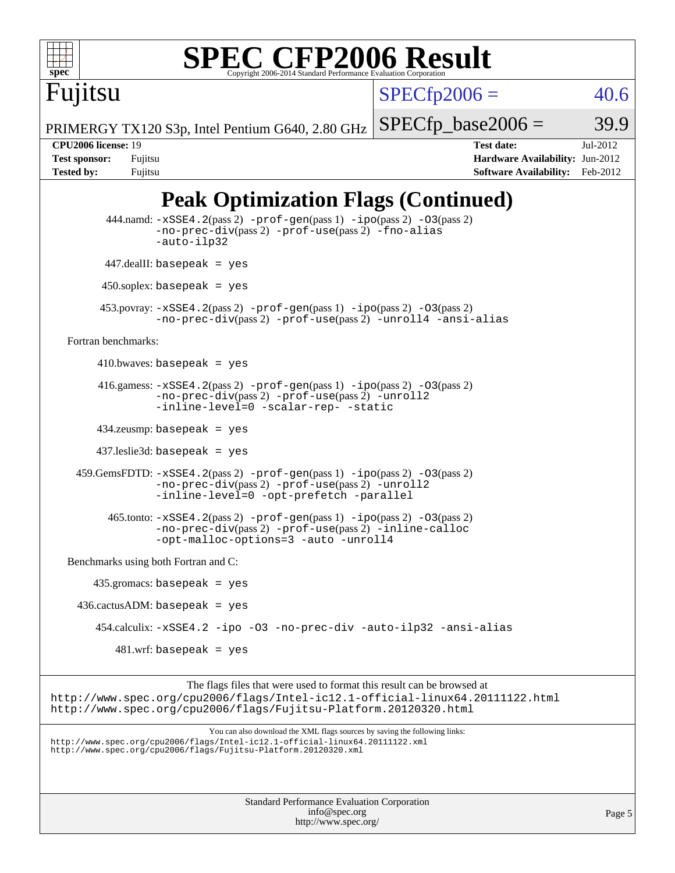

Fujitsu

# **[SPEC CFP2006 Result](http://www.spec.org/auto/cpu2006/Docs/result-fields.html#SPECCFP2006Result)**

 $SPECTp2006 = 40.6$ 

PRIMERGY TX120 S3p, Intel Pentium G640, 2.80 GHz

 $SPECTp\_base2006 = 39.9$ 

**[CPU2006 license:](http://www.spec.org/auto/cpu2006/Docs/result-fields.html#CPU2006license)** 19 **[Test date:](http://www.spec.org/auto/cpu2006/Docs/result-fields.html#Testdate)** Jul-2012 **[Test sponsor:](http://www.spec.org/auto/cpu2006/Docs/result-fields.html#Testsponsor)** Fujitsu **[Hardware Availability:](http://www.spec.org/auto/cpu2006/Docs/result-fields.html#HardwareAvailability)** Jun-2012 **[Tested by:](http://www.spec.org/auto/cpu2006/Docs/result-fields.html#Testedby)** Fujitsu **[Software Availability:](http://www.spec.org/auto/cpu2006/Docs/result-fields.html#SoftwareAvailability)** Feb-2012

## **[Peak Optimization Flags \(Continued\)](http://www.spec.org/auto/cpu2006/Docs/result-fields.html#PeakOptimizationFlags)**

```
Standard Performance Evaluation Corporation
                                             info@spec.org
          444.namd: -xSSE4. 2(pass 2)-prof-gen-ipo-O3(pass 2)
                   -no-prec-div(pass 2) -prof-use(pass 2) -fno-alias
                   -auto-ilp32
          447.dealII: basepeak = yes
          450.soplex: basepeak = yes
         453.povray: -xSSE4.2(pass 2) -prof-gen(pass 1) -ipo(pass 2) -O3(pass 2)
                   -no-prec-div(pass 2) -prof-use(pass 2) -unroll4 -ansi-alias
   Fortran benchmarks: 
        410.bwaves: basepeak = yes416.gamess: -xSSE4. 2(pass 2) -prof-gen-ipo-O3(pass 2)-no-prec-div(pass 2) -prof-use(pass 2) -unroll2
                  -inline-level=0 -scalar-rep- -static
         434.zeusmp: basepeak = yes
         437.leslie3d: basepeak = yes
     459.GemsFDTD: -xSSE4.2(pass 2) -prof-gen(pass 1) -ipo(pass 2) -O3(pass 2)
                   -no-prec-div(pass 2) -prof-use(pass 2) -unroll2
                   -inline-level=0 -opt-prefetch -parallel
          465.tonto: -xSSE4. 2(pass 2)-prof-gen-ipo(pass 2) -03(pass 2)
                   -no-prec-div(pass 2) -prof-use(pass 2) -inline-calloc
                   -opt-malloc-options=3 -auto -unroll4
   Benchmarks using both Fortran and C: 
        435.gromacs: basepeak = yes
     436.cactusADM: basepeak = yes
         454.calculix: -xSSE4.2 -ipo -O3 -no-prec-div -auto-ilp32 -ansi-alias
           481.wrf: basepeak = yes
                        The flags files that were used to format this result can be browsed at
http://www.spec.org/cpu2006/flags/Intel-ic12.1-official-linux64.20111122.html
http://www.spec.org/cpu2006/flags/Fujitsu-Platform.20120320.html
                            You can also download the XML flags sources by saving the following links:
http://www.spec.org/cpu2006/flags/Intel-ic12.1-official-linux64.20111122.xml
http://www.spec.org/cpu2006/flags/Fujitsu-Platform.20120320.xml
```
<http://www.spec.org/>